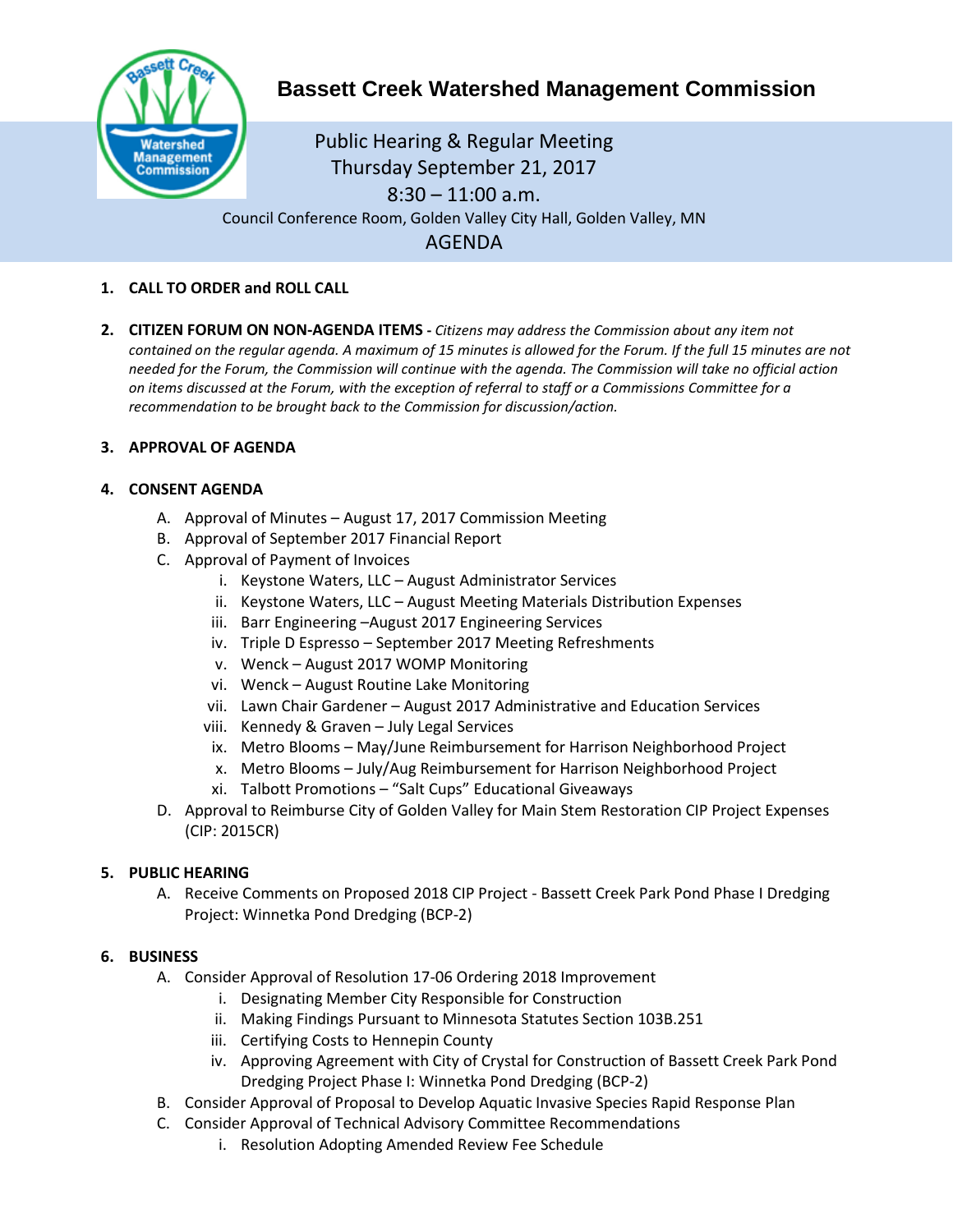

# **Bassett Creek Watershed Management Commission**

Public Hearing & Regular Meeting Thursday September 21, 2017 8:30 – 11:00 a.m. Council Conference Room, Golden Valley City Hall, Golden Valley, MN AGENDA

- **1. CALL TO ORDER and ROLL CALL**
- **2. CITIZEN FORUM ON NON-AGENDA ITEMS -** *Citizens may address the Commission about any item not contained on the regular agenda. A maximum of 15 minutes is allowed for the Forum. If the full 15 minutes are not needed for the Forum, the Commission will continue with the agenda. The Commission will take no official action on items discussed at the Forum, with the exception of referral to staff or a Commissions Committee for a recommendation to be brought back to the Commission for discussion/action.*

## **3. APPROVAL OF AGENDA**

## **4. CONSENT AGENDA**

- A. Approval of Minutes August 17, 2017 Commission Meeting
- B. Approval of September 2017 Financial Report
- C. Approval of Payment of Invoices
	- i. Keystone Waters, LLC August Administrator Services
	- ii. Keystone Waters, LLC August Meeting Materials Distribution Expenses
	- iii. Barr Engineering –August 2017 Engineering Services
	- iv. Triple D Espresso September 2017 Meeting Refreshments
	- v. Wenck August 2017 WOMP Monitoring
	- vi. Wenck August Routine Lake Monitoring
	- vii. Lawn Chair Gardener August 2017 Administrative and Education Services
	- viii. Kennedy & Graven July Legal Services
	- ix. Metro Blooms May/June Reimbursement for Harrison Neighborhood Project
	- x. Metro Blooms July/Aug Reimbursement for Harrison Neighborhood Project
	- xi. Talbott Promotions "Salt Cups" Educational Giveaways
- D. Approval to Reimburse City of Golden Valley for Main Stem Restoration CIP Project Expenses (CIP: 2015CR)

## **5. PUBLIC HEARING**

A. Receive Comments on Proposed 2018 CIP Project - Bassett Creek Park Pond Phase I Dredging Project: Winnetka Pond Dredging (BCP-2)

#### **6. BUSINESS**

- A. Consider Approval of Resolution 17-06 Ordering 2018 Improvement
	- i. Designating Member City Responsible for Construction
	- ii. Making Findings Pursuant to Minnesota Statutes Section 103B.251
	- iii. Certifying Costs to Hennepin County
	- iv. Approving Agreement with City of Crystal for Construction of Bassett Creek Park Pond Dredging Project Phase I: Winnetka Pond Dredging (BCP-2)
- B. Consider Approval of Proposal to Develop Aquatic Invasive Species Rapid Response Plan
- C. Consider Approval of Technical Advisory Committee Recommendations
	- i. Resolution Adopting Amended Review Fee Schedule